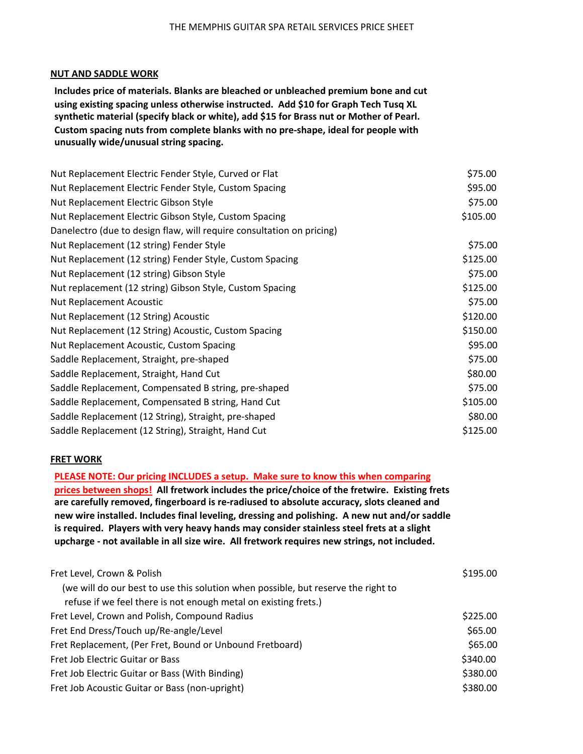## **NUT AND SADDLE WORK**

**Includes price of materials. Blanks are bleached or unbleached premium bone and cut** using existing spacing unless otherwise instructed. Add \$10 for Graph Tech Tusq XL synthetic material (specify black or white), add \$15 for Brass nut or Mother of Pearl. Custom spacing nuts from complete blanks with no pre-shape, ideal for people with **unusually wide/unusual string spacing.** 

| Nut Replacement Electric Fender Style, Curved or Flat                 | \$75.00  |
|-----------------------------------------------------------------------|----------|
| Nut Replacement Electric Fender Style, Custom Spacing                 | \$95.00  |
| Nut Replacement Electric Gibson Style                                 | \$75.00  |
| Nut Replacement Electric Gibson Style, Custom Spacing                 | \$105.00 |
| Danelectro (due to design flaw, will require consultation on pricing) |          |
| Nut Replacement (12 string) Fender Style                              | \$75.00  |
| Nut Replacement (12 string) Fender Style, Custom Spacing              | \$125.00 |
| Nut Replacement (12 string) Gibson Style                              | \$75.00  |
| Nut replacement (12 string) Gibson Style, Custom Spacing              | \$125.00 |
| <b>Nut Replacement Acoustic</b>                                       | \$75.00  |
| Nut Replacement (12 String) Acoustic                                  | \$120.00 |
| Nut Replacement (12 String) Acoustic, Custom Spacing                  | \$150.00 |
| Nut Replacement Acoustic, Custom Spacing                              | \$95.00  |
| Saddle Replacement, Straight, pre-shaped                              | \$75.00  |
| Saddle Replacement, Straight, Hand Cut                                | \$80.00  |
| Saddle Replacement, Compensated B string, pre-shaped                  | \$75.00  |
| Saddle Replacement, Compensated B string, Hand Cut                    | \$105.00 |
| Saddle Replacement (12 String), Straight, pre-shaped                  | \$80.00  |
| Saddle Replacement (12 String), Straight, Hand Cut                    | \$125.00 |

## **FRET WORK**

**PLEASE NOTE: Our pricing INCLUDES a setup. Make sure to know this when comparing prices between shops! All fretwork includes the price/choice of the fretwire. Existing frets** are carefully removed, fingerboard is re-radiused to absolute accuracy, slots cleaned and new wire installed. Includes final leveling, dressing and polishing. A new nut and/or saddle is required. Players with very heavy hands may consider stainless steel frets at a slight upcharge - not available in all size wire. All fretwork requires new strings, not included.

| Fret Level, Crown & Polish                                                        | \$195.00 |
|-----------------------------------------------------------------------------------|----------|
| (we will do our best to use this solution when possible, but reserve the right to |          |
| refuse if we feel there is not enough metal on existing frets.)                   |          |
| Fret Level, Crown and Polish, Compound Radius                                     | \$225.00 |
| Fret End Dress/Touch up/Re-angle/Level                                            | \$65.00  |
| Fret Replacement, (Per Fret, Bound or Unbound Fretboard)                          | \$65.00  |
| Fret Job Electric Guitar or Bass                                                  | \$340.00 |
| Fret Job Electric Guitar or Bass (With Binding)                                   | \$380.00 |
| Fret Job Acoustic Guitar or Bass (non-upright)                                    | \$380.00 |